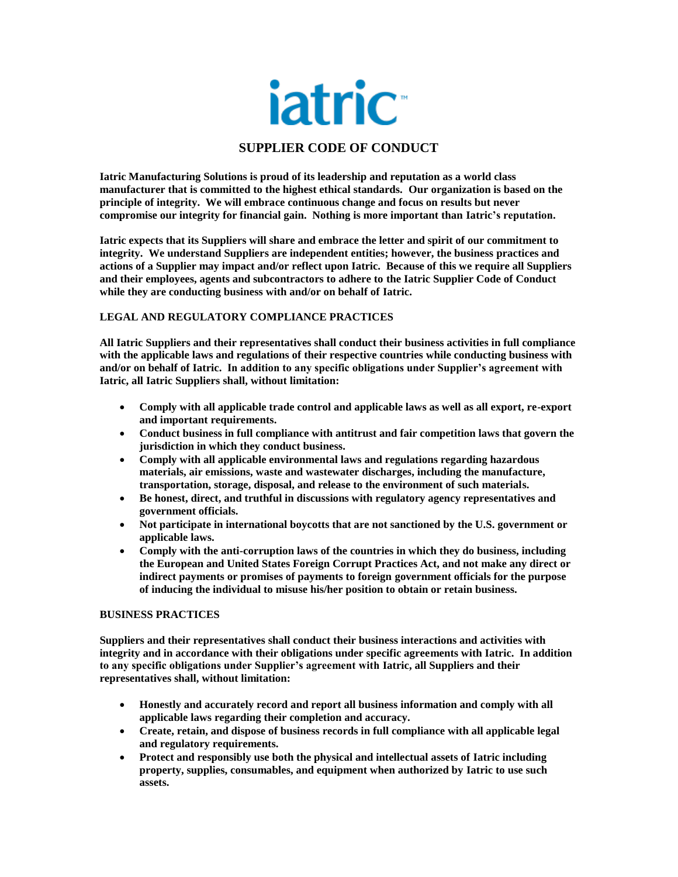

# **SUPPLIER CODE OF CONDUCT**

**Iatric Manufacturing Solutions is proud of its leadership and reputation as a world class manufacturer that is committed to the highest ethical standards. Our organization is based on the principle of integrity. We will embrace continuous change and focus on results but never compromise our integrity for financial gain. Nothing is more important than Iatric's reputation.**

**Iatric expects that its Suppliers will share and embrace the letter and spirit of our commitment to integrity. We understand Suppliers are independent entities; however, the business practices and actions of a Supplier may impact and/or reflect upon Iatric. Because of this we require all Suppliers and their employees, agents and subcontractors to adhere to the Iatric Supplier Code of Conduct while they are conducting business with and/or on behalf of Iatric.**

# **LEGAL AND REGULATORY COMPLIANCE PRACTICES**

**All Iatric Suppliers and their representatives shall conduct their business activities in full compliance with the applicable laws and regulations of their respective countries while conducting business with and/or on behalf of Iatric. In addition to any specific obligations under Supplier's agreement with Iatric, all Iatric Suppliers shall, without limitation:**

- **Comply with all applicable trade control and applicable laws as well as all export, re-export and important requirements.**
- **Conduct business in full compliance with antitrust and fair competition laws that govern the jurisdiction in which they conduct business.**
- **Comply with all applicable environmental laws and regulations regarding hazardous materials, air emissions, waste and wastewater discharges, including the manufacture, transportation, storage, disposal, and release to the environment of such materials.**
- **Be honest, direct, and truthful in discussions with regulatory agency representatives and government officials.**
- **Not participate in international boycotts that are not sanctioned by the U.S. government or applicable laws.**
- **Comply with the anti-corruption laws of the countries in which they do business, including the European and United States Foreign Corrupt Practices Act, and not make any direct or indirect payments or promises of payments to foreign government officials for the purpose of inducing the individual to misuse his/her position to obtain or retain business.**

### **BUSINESS PRACTICES**

**Suppliers and their representatives shall conduct their business interactions and activities with integrity and in accordance with their obligations under specific agreements with Iatric. In addition to any specific obligations under Supplier's agreement with Iatric, all Suppliers and their representatives shall, without limitation:**

- **Honestly and accurately record and report all business information and comply with all applicable laws regarding their completion and accuracy.**
- **Create, retain, and dispose of business records in full compliance with all applicable legal and regulatory requirements.**
- **Protect and responsibly use both the physical and intellectual assets of Iatric including property, supplies, consumables, and equipment when authorized by Iatric to use such assets.**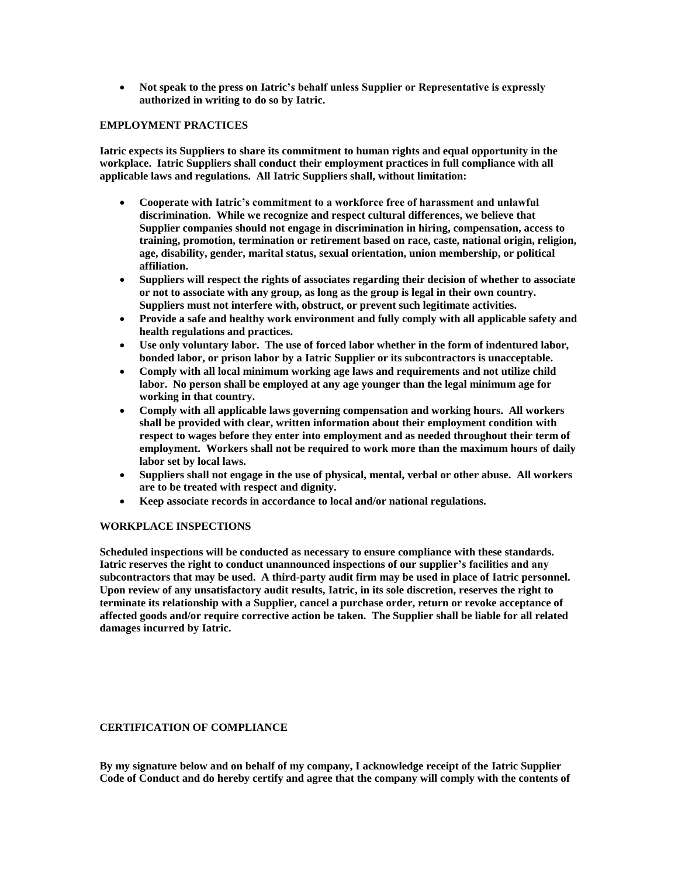• **Not speak to the press on Iatric's behalf unless Supplier or Representative is expressly authorized in writing to do so by Iatric.**

## **EMPLOYMENT PRACTICES**

**Iatric expects its Suppliers to share its commitment to human rights and equal opportunity in the workplace. Iatric Suppliers shall conduct their employment practices in full compliance with all applicable laws and regulations. All Iatric Suppliers shall, without limitation:**

- **Cooperate with Iatric's commitment to a workforce free of harassment and unlawful discrimination. While we recognize and respect cultural differences, we believe that Supplier companies should not engage in discrimination in hiring, compensation, access to training, promotion, termination or retirement based on race, caste, national origin, religion, age, disability, gender, marital status, sexual orientation, union membership, or political affiliation.**
- **Suppliers will respect the rights of associates regarding their decision of whether to associate or not to associate with any group, as long as the group is legal in their own country. Suppliers must not interfere with, obstruct, or prevent such legitimate activities.**
- **Provide a safe and healthy work environment and fully comply with all applicable safety and health regulations and practices.**
- **Use only voluntary labor. The use of forced labor whether in the form of indentured labor, bonded labor, or prison labor by a Iatric Supplier or its subcontractors is unacceptable.**
- **Comply with all local minimum working age laws and requirements and not utilize child labor. No person shall be employed at any age younger than the legal minimum age for working in that country.**
- **Comply with all applicable laws governing compensation and working hours. All workers shall be provided with clear, written information about their employment condition with respect to wages before they enter into employment and as needed throughout their term of employment. Workers shall not be required to work more than the maximum hours of daily labor set by local laws.**
- **Suppliers shall not engage in the use of physical, mental, verbal or other abuse. All workers are to be treated with respect and dignity.**
- **Keep associate records in accordance to local and/or national regulations.**

# **WORKPLACE INSPECTIONS**

**Scheduled inspections will be conducted as necessary to ensure compliance with these standards. Iatric reserves the right to conduct unannounced inspections of our supplier's facilities and any subcontractors that may be used. A third-party audit firm may be used in place of Iatric personnel. Upon review of any unsatisfactory audit results, Iatric, in its sole discretion, reserves the right to terminate its relationship with a Supplier, cancel a purchase order, return or revoke acceptance of affected goods and/or require corrective action be taken. The Supplier shall be liable for all related damages incurred by Iatric.**

### **CERTIFICATION OF COMPLIANCE**

**By my signature below and on behalf of my company, I acknowledge receipt of the Iatric Supplier Code of Conduct and do hereby certify and agree that the company will comply with the contents of**